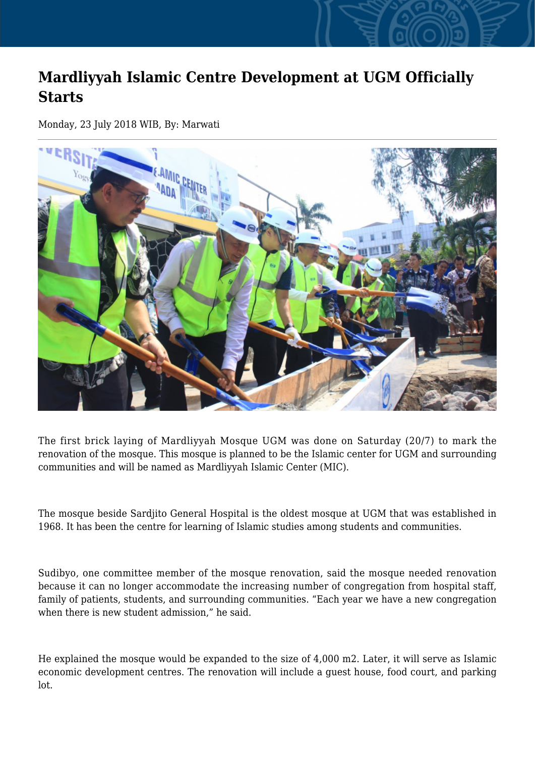## **Mardliyyah Islamic Centre Development at UGM Officially Starts**

Monday, 23 July 2018 WIB, By: Marwati



The first brick laying of Mardliyyah Mosque UGM was done on Saturday (20/7) to mark the renovation of the mosque. This mosque is planned to be the Islamic center for UGM and surrounding communities and will be named as Mardliyyah Islamic Center (MIC).

The mosque beside Sardjito General Hospital is the oldest mosque at UGM that was established in 1968. It has been the centre for learning of Islamic studies among students and communities.

Sudibyo, one committee member of the mosque renovation, said the mosque needed renovation because it can no longer accommodate the increasing number of congregation from hospital staff, family of patients, students, and surrounding communities. "Each year we have a new congregation when there is new student admission," he said.

He explained the mosque would be expanded to the size of 4,000 m2. Later, it will serve as Islamic economic development centres. The renovation will include a guest house, food court, and parking lot.